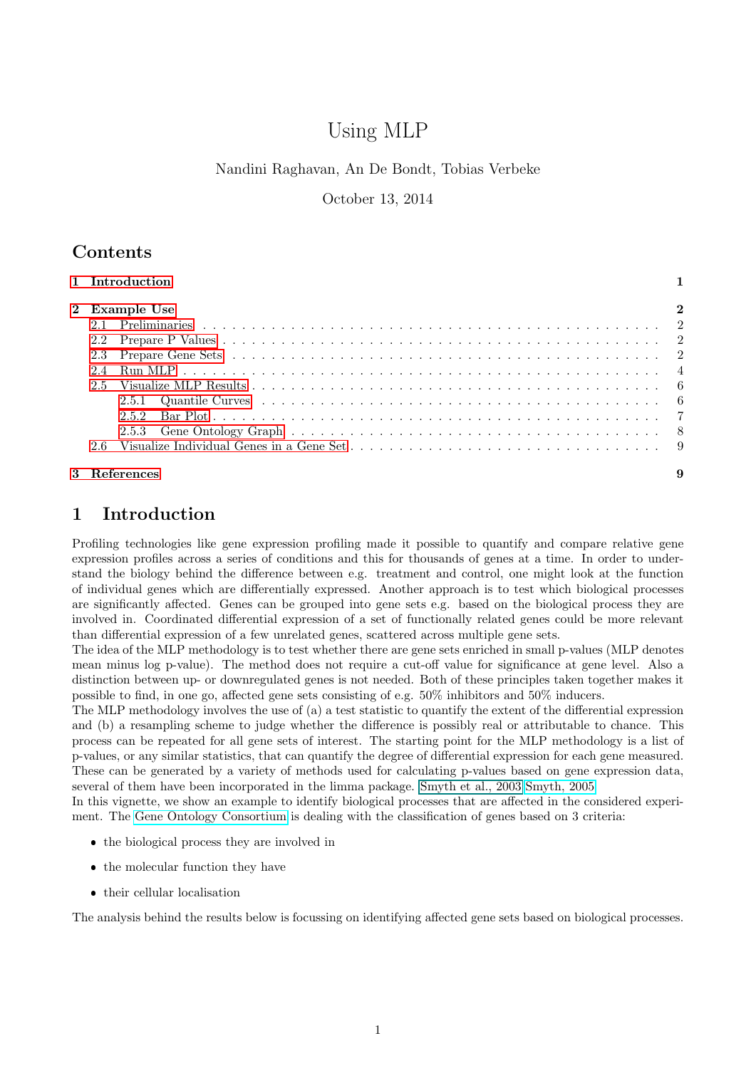# Using MLP

#### Nandini Raghavan, An De Bondt, Tobias Verbeke

October 13, 2014

### <span id="page-0-1"></span>Contents

| 1 Introduction |              |
|----------------|--------------|
| 2 Example Use  | $\mathbf{2}$ |
|                |              |
|                |              |
|                |              |
|                |              |
|                |              |
|                |              |
|                |              |
|                |              |
|                |              |
| 3 References   | 9            |

### <span id="page-0-0"></span>1 Introduction

Profiling technologies like gene expression profiling made it possible to quantify and compare relative gene expression profiles across a series of conditions and this for thousands of genes at a time. In order to understand the biology behind the difference between e.g. treatment and control, one might look at the function of individual genes which are differentially expressed. Another approach is to test which biological processes are significantly affected. Genes can be grouped into gene sets e.g. based on the biological process they are involved in. Coordinated differential expression of a set of functionally related genes could be more relevant than differential expression of a few unrelated genes, scattered across multiple gene sets.

The idea of the MLP methodology is to test whether there are gene sets enriched in small p-values (MLP denotes mean minus log p-value). The method does not require a cut-off value for significance at gene level. Also a distinction between up- or downregulated genes is not needed. Both of these principles taken together makes it possible to find, in one go, affected gene sets consisting of e.g. 50% inhibitors and 50% inducers.

The MLP methodology involves the use of (a) a test statistic to quantify the extent of the differential expression and (b) a resampling scheme to judge whether the difference is possibly real or attributable to chance. This process can be repeated for all gene sets of interest. The starting point for the MLP methodology is a list of p-values, or any similar statistics, that can quantify the degree of differential expression for each gene measured. These can be generated by a variety of methods used for calculating p-values based on gene expression data, several of them have been incorporated in the limma package. Smyth et al., 2003 [Smyth, 2005](http://www.statsci.org/smyth/pubs/limma-biocbook-reprint.pdf)

In this vignette, we show an example to identify biological processes that are affected in the considered experiment. The [Gene Ontology Consortium](http://www.geneontology.org/) is dealing with the classification of genes based on 3 criteria:

- the biological process they are involved in
- $\bullet$  the molecular function they have
- $\bullet\,$  their cellular localisation

The analysis behind the results below is focussing on identifying affected gene sets based on biological processes.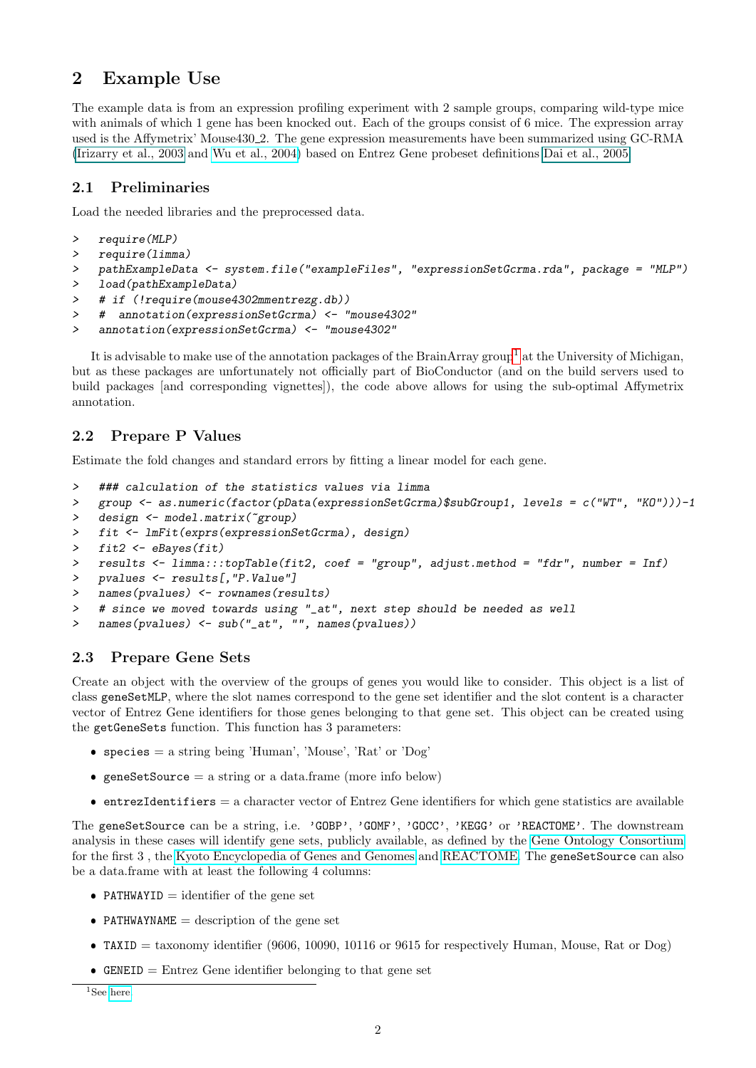## <span id="page-1-0"></span>2 Example Use

The example data is from an expression profiling experiment with 2 sample groups, comparing wild-type mice with animals of which 1 gene has been knocked out. Each of the groups consist of 6 mice. The expression array used is the Affymetrix' Mouse430 2. The gene expression measurements have been summarized using GC-RMA [\(Irizarry et al., 2003](#page-0-1) and [Wu et al., 2004\)](http://www.bepress.com/jhubiostat/paper1/) based on Entrez Gene probeset definitions [Dai et al., 2005.](#page-0-1)

#### <span id="page-1-1"></span>2.1 Preliminaries

Load the needed libraries and the preprocessed data.

```
> require(MLP)
```

```
> require(limma)
```

```
> pathExampleData <- system.file("exampleFiles", "expressionSetGcrma.rda", package = "MLP")
```

```
> load(pathExampleData)
```

```
> # if (!require(mouse4302mmentrezg.db))
```
> # annotation(expressionSetGcrma) <- "mouse4302"

```
> annotation(expressionSetGcrma) <- "mouse4302"
```
It is advisable to make use of the annotation packages of the BrainArray group<sup>[1](#page-1-4)</sup> at the University of Michigan, but as these packages are unfortunately not officially part of BioConductor (and on the build servers used to build packages [and corresponding vignettes]), the code above allows for using the sub-optimal Affymetrix annotation.

### <span id="page-1-2"></span>2.2 Prepare P Values

Estimate the fold changes and standard errors by fitting a linear model for each gene.

```
> ### calculation of the statistics values via limma
```

```
> group <- as.numeric(factor(pData(expressionSetGcrma)$subGroup1, levels = c("WT", "KO")))-1
```
- > design <- model.matrix(~group)
- > fit <- lmFit(exprs(expressionSetGcrma), design)
- > fit2 <- eBayes(fit)
- > results <- limma:::topTable(fit2, coef = "group", adjust.method = "fdr", number = Inf)

```
> pvalues <- results[,"P.Value"]
```

```
> names(pvalues) <- rownames(results)
```

```
> # since we moved towards using "_at", next step should be needed as well
```

```
> names(pvalues) <- sub("_at", "", names(pvalues))
```
### <span id="page-1-3"></span>2.3 Prepare Gene Sets

Create an object with the overview of the groups of genes you would like to consider. This object is a list of class geneSetMLP, where the slot names correspond to the gene set identifier and the slot content is a character vector of Entrez Gene identifiers for those genes belonging to that gene set. This object can be created using the getGeneSets function. This function has 3 parameters:

- $\bullet$  species = a string being 'Human', 'Mouse', 'Rat' or 'Dog'
- $\bullet$  geneSetSource = a string or a data.frame (more info below)
- $\bullet$  entrezIdentifiers = a character vector of Entrez Gene identifiers for which gene statistics are available

The geneSetSource can be a string, i.e. 'GOBP', 'GOMF', 'GOCC', 'KEGG' or 'REACTOME'. The downstream analysis in these cases will identify gene sets, publicly available, as defined by the [Gene Ontology Consortium](http://www.geneontology.org/) for the first 3 , the [Kyoto Encyclopedia of Genes and Genomes](http://www.genome.jp/kegg/) and [REACTOME.](http://www.reactome.org) The geneSetSource can also be a data.frame with at least the following 4 columns:

- PATHWAYID  $=$  identifier of the gene set
- PATHWAYNAME  $=$  description of the gene set
- $\bullet$  TAXID = taxonomy identifier (9606, 10090, 10116 or 9615 for respectively Human, Mouse, Rat or Dog)
- $\bullet$  GENEID = Entrez Gene identifier belonging to that gene set

<span id="page-1-4"></span><sup>&</sup>lt;sup>1</sup>See [here.](http://brainarray.mbni.med.umich.edu/Brainarray/Database/CustomCDF/genomic_curated_CDF.asp)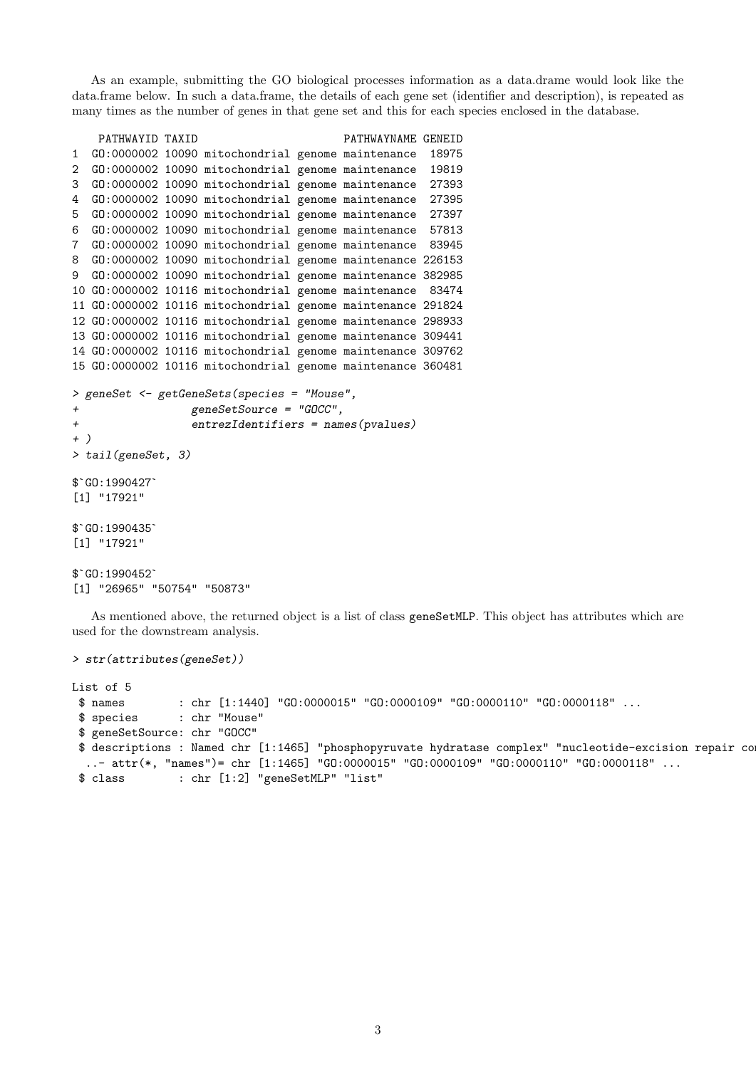As an example, submitting the GO biological processes information as a data.drame would look like the data.frame below. In such a data.frame, the details of each gene set (identifier and description), is repeated as many times as the number of genes in that gene set and this for each species enclosed in the database.

```
PATHWAYID TAXID PATHWAYNAME GENEID
1 GO:0000002 10090 mitochondrial genome maintenance 18975
2 GO:0000002 10090 mitochondrial genome maintenance 19819
3 GO:0000002 10090 mitochondrial genome maintenance 27393
4 GO:0000002 10090 mitochondrial genome maintenance 27395
5 GO:0000002 10090 mitochondrial genome maintenance 27397
6 GO:0000002 10090 mitochondrial genome maintenance 57813
7 GO:0000002 10090 mitochondrial genome maintenance 83945
8 GO:0000002 10090 mitochondrial genome maintenance 226153
9 GO:0000002 10090 mitochondrial genome maintenance 382985
10 GO:0000002 10116 mitochondrial genome maintenance 83474
11 GO:0000002 10116 mitochondrial genome maintenance 291824
12 GO:0000002 10116 mitochondrial genome maintenance 298933
13 GO:0000002 10116 mitochondrial genome maintenance 309441
14 GO:0000002 10116 mitochondrial genome maintenance 309762
15 GO:0000002 10116 mitochondrial genome maintenance 360481
> geneSet <- getGeneSets(species = "Mouse",
+ geneSetSource = "GOCC",
+ entrezIdentifiers = names(pvalues)
+ )
> tail(geneSet, 3)
+ )<br>> tail(geneSe<br>$`GO:1990427`
[1] "17921"
$^{\circ}GO:1990427<sup>-</sup><br>[1] "17921"<br>$^{\circ}GO:1990435<sup>-</sup>
[1] "17921"
$`GO:1990452`
[1] "26965" "50754" "50873"
```
As mentioned above, the returned object is a list of class geneSetMLP. This object has attributes which are used for the downstream analysis.

```
> str(attributes(geneSet))
```

```
List of 5
 $ names : chr [1:1440] "GO:0000015" "GO:0000109" "GO:0000110" "GO:0000118" ...
 $ species : chr "Mouse"
 $ geneSetSource: chr "GOCC"
 $ descriptions : Named chr [1:1465] "phosphopyruvate hydratase complex" "nucleotide-excision repair co
  ..- attr(*, "names")= chr [1:1465] "G0:0000015" "G0:0000109" "G0:0000110" "G0:0000118" ...
 $ class : chr [1:2] "geneSetMLP" "list"
```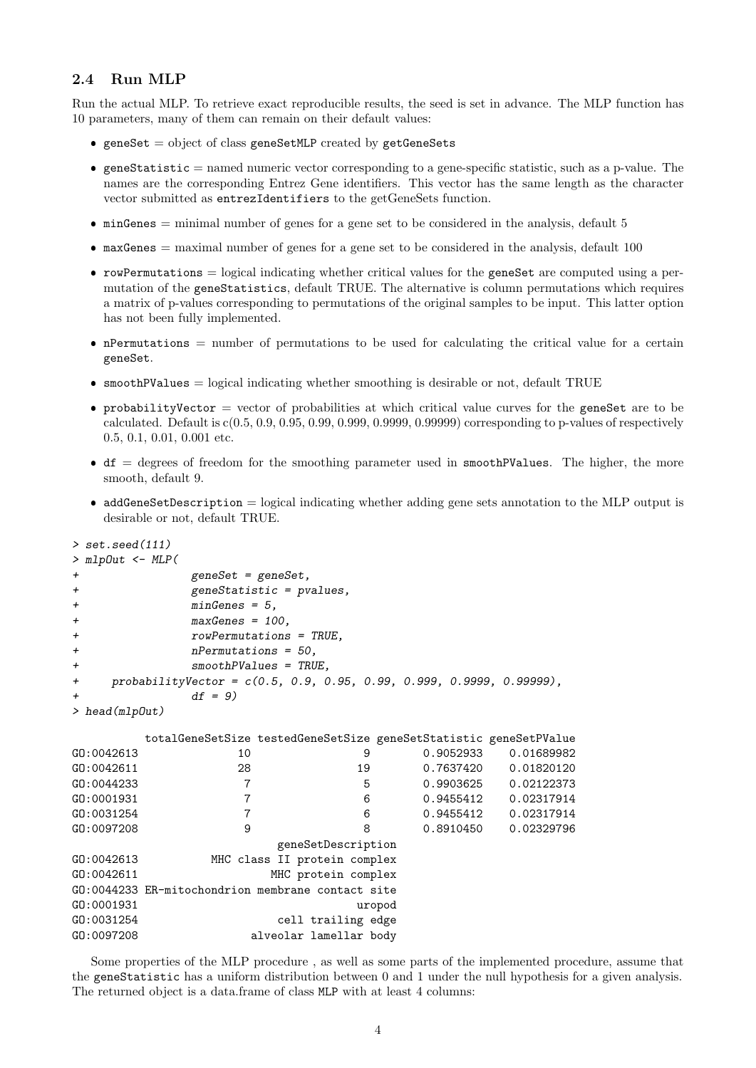### <span id="page-3-0"></span>2.4 Run MLP

Run the actual MLP. To retrieve exact reproducible results, the seed is set in advance. The MLP function has 10 parameters, many of them can remain on their default values:

- $\bullet$  geneSet = object of class geneSetMLP created by getGeneSets
- $\bullet$  geneStatistic = named numeric vector corresponding to a gene-specific statistic, such as a p-value. The names are the corresponding Entrez Gene identifiers. This vector has the same length as the character vector submitted as entrezIdentifiers to the getGeneSets function.
- $\bullet$  minGenes = minimal number of genes for a gene set to be considered in the analysis, default 5
- $\bullet$  maxGenes = maximal number of genes for a gene set to be considered in the analysis, default 100
- rowPermutations = logical indicating whether critical values for the geneSet are computed using a permutation of the geneStatistics, default TRUE. The alternative is column permutations which requires a matrix of p-values corresponding to permutations of the original samples to be input. This latter option has not been fully implemented.
- nPermutations = number of permutations to be used for calculating the critical value for a certain geneSet.
- $\bullet$  smoothPValues = logical indicating whether smoothing is desirable or not, default TRUE
- $\bullet$  probabilityVector = vector of probabilities at which critical value curves for the geneSet are to be calculated. Default is  $c(0.5, 0.9, 0.95, 0.99, 0.999, 0.9999, 0.99999)$  corresponding to p-values of respectively 0.5, 0.1, 0.01, 0.001 etc.
- $\bullet$  df = degrees of freedom for the smoothing parameter used in smoothPValues. The higher, the more smooth, default 9.
- $\bullet$  addGeneSetDescription = logical indicating whether adding gene sets annotation to the MLP output is desirable or not, default TRUE.

```
> set.seed(111)
> mlpOut <- MLP(
+ geneSet = geneSet,
+ geneStatistic = pvalues,
+ minGenes = 5,
+ maxGenes = 100,
+ rowPermutations = TRUE,
+ nPermutations = 50,
           smoothPValues = TRUE,+ probabilityVector = c(0.5, 0.9, 0.95, 0.99, 0.999, 0.9999, 0.99999),
           df = 9)
> head(mlpOut)
       totalGeneSetSize testedGeneSetSize geneSetStatistic geneSetPValue
GO:0042613 10 9 0.9052933 0.01689982
GO:0042611 28 19 0.7637420 0.01820120
GO:0044233 7 5 0.9903625 0.02122373
GO:0001931 7 6 0.9455412 0.02317914
GO:0031254 7 6 0.9455412 0.02317914
GO:0097208 9 9 8 0.8910450 0.02329796
                    geneSetDescription
GO:0042613 MHC class II protein complex
GO:0042611 MHC protein complex
GO:0044233 ER-mitochondrion membrane contact site
GO:0001931 uropod
GO:0031254 cell trailing edge
GO:0097208 alveolar lamellar body
```
Some properties of the MLP procedure , as well as some parts of the implemented procedure, assume that the geneStatistic has a uniform distribution between 0 and 1 under the null hypothesis for a given analysis. The returned object is a data.frame of class MLP with at least 4 columns: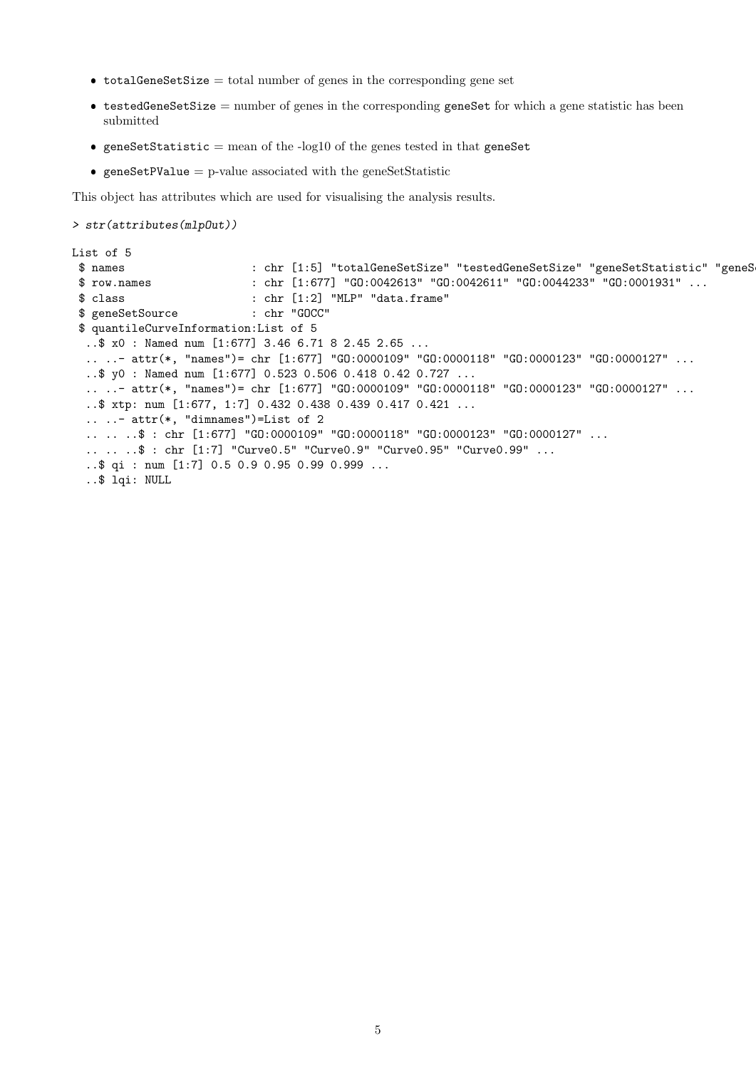- $\bullet$  totalGeneSetSize = total number of genes in the corresponding gene set
- $\bullet$  testedGeneSetSize = number of genes in the corresponding geneSet for which a gene statistic has been submitted
- $\bullet$  geneSetStatistic = mean of the -log10 of the genes tested in that geneSet
- $\bullet$  geneSetPValue = p-value associated with the geneSetStatistic

This object has attributes which are used for visualising the analysis results.

```
> str(attributes(mlpOut))
```

```
List of 5
$ names : chr [1:5] "totalGeneSetSize" "testedGeneSetSize" "geneSetStatistic" "geneS
$ row.names : chr [1:677] "GO:0042613" "GO:0042611" "GO:0044233" "GO:0001931" ...
 $ class : chr [1:2] "MLP" "data.frame"
 $ geneSetSource : chr "GOCC"
 $ quantileCurveInformation:List of 5
  ..$ x0 : Named num [1:677] 3.46 6.71 8 2.45 2.65 ...
  .. ..- attr(*, "names")= chr [1:677] "GO:0000109" "GO:0000118" "GO:0000123" "GO:0000127" ...
  ..$ y0 : Named num [1:677] 0.523 0.506 0.418 0.42 0.727 ...
  .. ..- attr(*, "names")= chr [1:677] "G0:0000109" "G0:0000118" "G0:0000123" "G0:0000127" ...
  ..$ xtp: num [1:677, 1:7] 0.432 0.438 0.439 0.417 0.421 ...
  \ldots \ldots attr(*, "dimnames")=List of 2
  .. .. ..$ : chr [1:677] "GO:0000109" "GO:0000118" "GO:0000123" "GO:0000127" ...
  .. .. ..$ : chr [1:7] "Curve0.5" "Curve0.9" "Curve0.95" "Curve0.99" ...
  ..$ qi : num [1:7] 0.5 0.9 0.95 0.99 0.999 ...
  ..$ lqi: NULL
```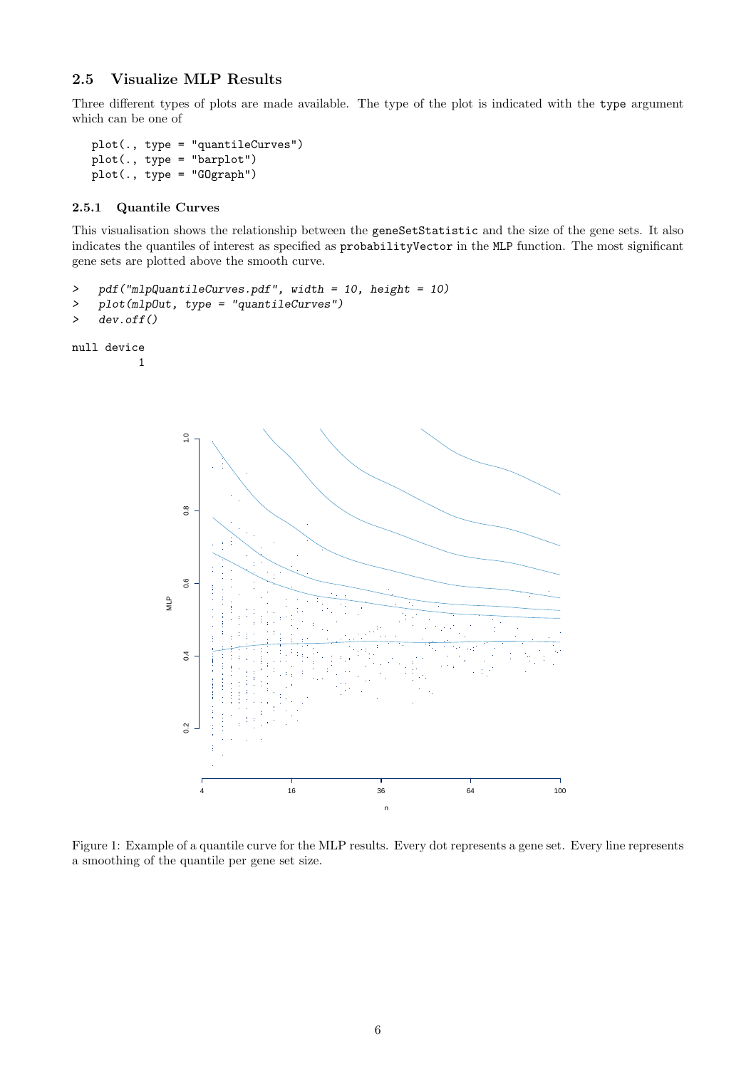### <span id="page-5-0"></span>2.5 Visualize MLP Results

Three different types of plots are made available. The type of the plot is indicated with the type argument which can be one of

```
plot(., type = "quantileCurves")
plot(., type = "barplot")
plot(., type = "GOgraph")
```
#### <span id="page-5-1"></span>2.5.1 Quantile Curves

This visualisation shows the relationship between the geneSetStatistic and the size of the gene sets. It also indicates the quantiles of interest as specified as probabilityVector in the MLP function. The most significant gene sets are plotted above the smooth curve.

```
> pdf("mlpQuantileCurves.pdf", width = 10, height = 10)
```

```
> plot(mlpOut, type = "quantileCurves")
```

```
> dev.off()
```

```
null device
```
1



Figure 1: Example of a quantile curve for the MLP results. Every dot represents a gene set. Every line represents a smoothing of the quantile per gene set size.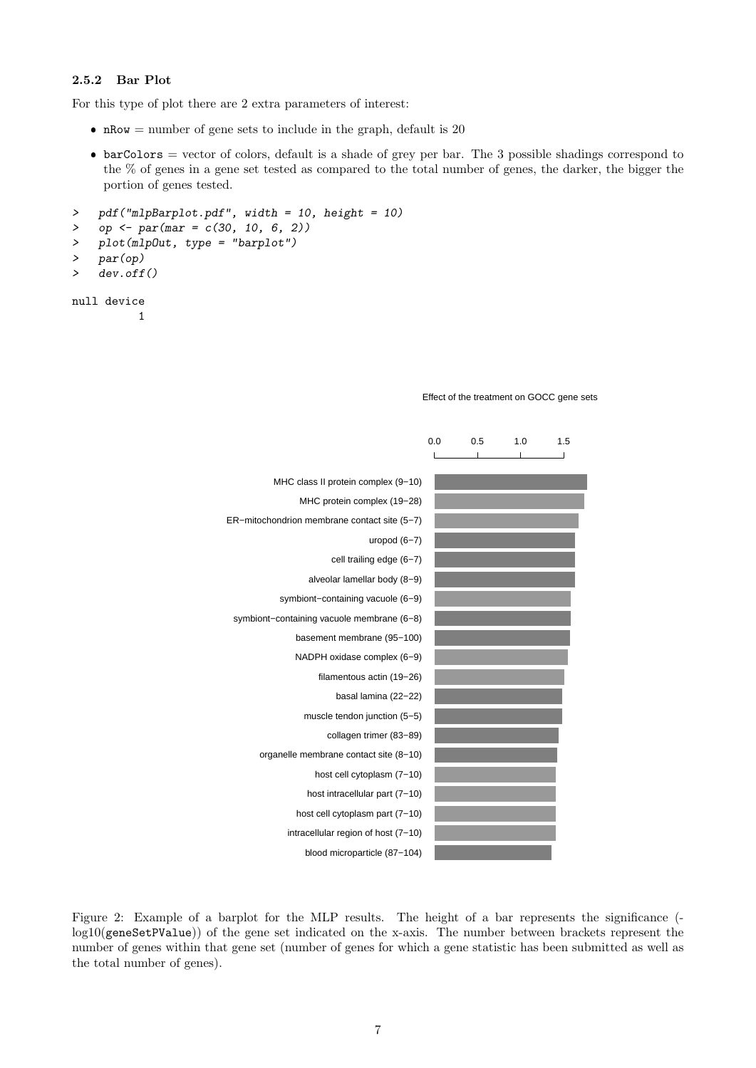#### <span id="page-6-0"></span>2.5.2 Bar Plot

For this type of plot there are 2 extra parameters of interest:

- nRow = number of gene sets to include in the graph, default is  $20$
- $\bullet$  barColors = vector of colors, default is a shade of grey per bar. The 3 possible shadings correspond to the % of genes in a gene set tested as compared to the total number of genes, the darker, the bigger the portion of genes tested.

```
> pdf("mlpBarplot.pdf", width = 10, height = 10)
> op \leftarrow par(mar = c(30, 10, 6, 2))
> plot(mlpOut, type = "barplot")
> par(op)
> dev.off()
```

```
null device
```
1

|                                              | 0.0 | 0.5 | 1.0 | 1.5 |
|----------------------------------------------|-----|-----|-----|-----|
|                                              |     |     |     |     |
| MHC class II protein complex (9-10)          |     |     |     |     |
| MHC protein complex (19-28)                  |     |     |     |     |
| ER-mitochondrion membrane contact site (5-7) |     |     |     |     |
| uropod $(6-7)$                               |     |     |     |     |
| cell trailing edge (6-7)                     |     |     |     |     |
| alveolar lamellar body (8-9)                 |     |     |     |     |
| symbiont-containing vacuole (6-9)            |     |     |     |     |
| symbiont-containing vacuole membrane (6-8)   |     |     |     |     |
| basement membrane (95-100)                   |     |     |     |     |
| NADPH oxidase complex (6-9)                  |     |     |     |     |
| filamentous actin (19-26)                    |     |     |     |     |
| basal lamina (22-22)                         |     |     |     |     |
| muscle tendon junction (5-5)                 |     |     |     |     |
| collagen trimer (83-89)                      |     |     |     |     |
| organelle membrane contact site (8-10)       |     |     |     |     |
| host cell cytoplasm (7-10)                   |     |     |     |     |
| host intracellular part (7-10)               |     |     |     |     |
| host cell cytoplasm part (7-10)              |     |     |     |     |
| intracellular region of host (7-10)          |     |     |     |     |
| blood microparticle (87-104)                 |     |     |     |     |

#### Effect of the treatment on GOCC gene sets

Figure 2: Example of a barplot for the MLP results. The height of a bar represents the significance ( log10(geneSetPValue)) of the gene set indicated on the x-axis. The number between brackets represent the number of genes within that gene set (number of genes for which a gene statistic has been submitted as well as the total number of genes).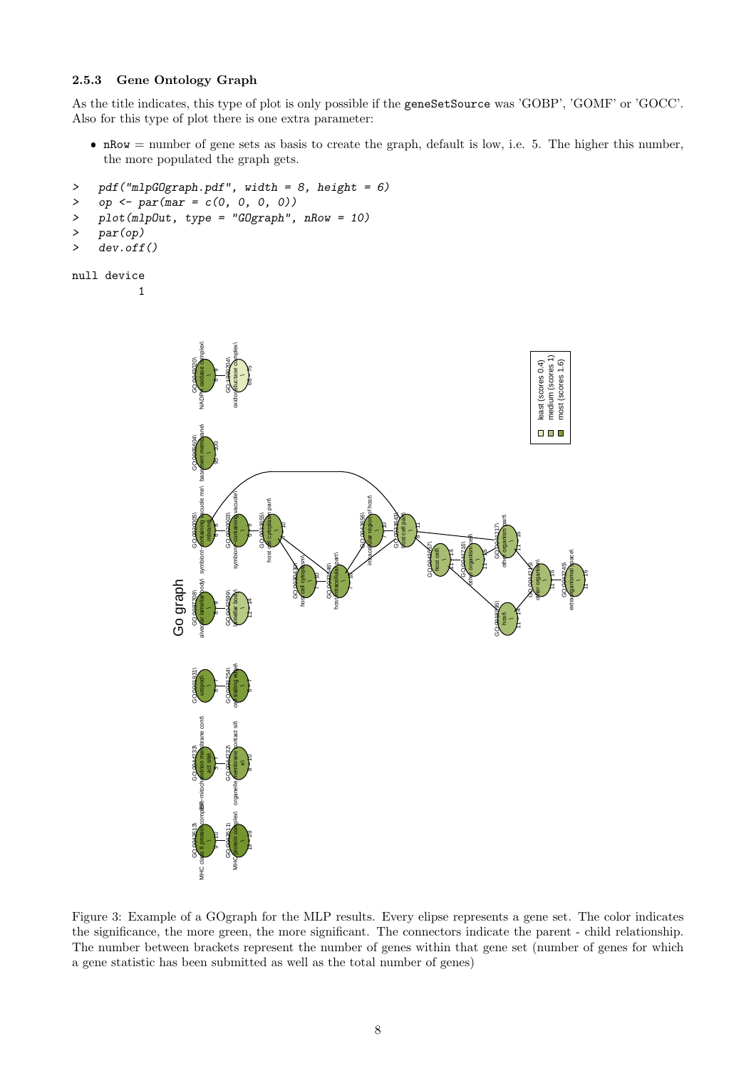#### <span id="page-7-0"></span>2.5.3 Gene Ontology Graph

As the title indicates, this type of plot is only possible if the geneSetSource was 'GOBP', 'GOMF' or 'GOCC'. Also for this type of plot there is one extra parameter:

 $\bullet$  nRow = number of gene sets as basis to create the graph, default is low, i.e. 5. The higher this number, the more populated the graph gets.

```
> pdf("mlpGOgraph.pdf", width = 8, height = 6)
```
> op  $\leftarrow$  par(mar =  $c(0, 0, 0, 0)$ )

```
> plot(mlpOut, type = "GOgraph", nRow = 10)
```

```
> par(op)
```

```
> dev.off()
```

```
null device
           1
```

```
NADPH oxidase complex\
                                                                                                                                                                 oxidoreductase complex\
                                                                                                                                                                                                                                                                                                                                                                                                                                                                                                                                                                                                                                                                                                                                                                                                                                                                                                                                                                            least (scores 0.4)<br>medium (scores 1)<br>most (scores 1.6)
                                                                                                                                                                                                                                                                                                                                                                                                                                                                                                                                                                                                                                                                                                                                                                                                                                                                                                                                                                                                              medium (scores 1)
                                                       GO:0043020\
                                                                                                                                              GO:1999204\
                                                                                                                                                                                                                                                                                                                                                                                                                                                                                                                                                                                                                                                                                                                                                                                                                                                                                                                                                                                    least (scores 0.4)
                                                                                                                                                                                                                                                                                                                                                                                                                                                                                                                                                                                                                                                                                                                                                                                                                                                                                                                                                                                                                                        most (scores 1.6)
                                                                                                                                                                                                      66 − 75
                                                                                                               բ
                                                                          basement membrane\
                                                                                                                                                                                                                                                                                                                                                                                                                                                                                                                                                                                                                                                                                                                                                                                                                                                                                                                                                                              \blacksquareGO:0005604\
                                                                                                               95 − 100
                                                                                            \overline{\phantom{a}}symbiont–containing vacuole me\
                                                                                                                                                                 symbiont<containing vacuole\
                                                                                                                                                                                                                                                                                                                                                                                                                                                                                                                            intracel ular region of host
                                                                                                                                                                                                                                                       host cell cytoplasm part\
                                                       GO:0020005\
                                                                                                                                              GO:0020003\
                                                                                                                                                                                                                                     GO:0033655\
                                                                                                                                                                                                                                                                                                                                                                                                                                                                                                         GO:0043656\
                                                                                                                                                                                                                                                                                                                                                                                                                                                                                                                                                                                                GO 0033643
                                                                                                                                                                                                                                                                                                                                                                                                                                                                                                                                                                                                                  host cell part\
                                                                                                                                                                                                                                                                                                                                                                                                                                                                                                                                                                                                                                                                                                                                                                                                                                                                                       other organism part\
                                                                                            mbrane\
                                                                                                                                                                                                                                                                                             ך<br>!
                                                                                                                                                                                                                                                                                                                                                                                                                                                                                                                                                                 ¶<br>ד
                                                                                                                                                                                                                                                                                                                                                                                                                                                                                                                                                                                                                                                        [<br>}
                                                                                                                                                                                                                                                                                                                                                                                                                                                                                                                                                                                                                                                                                                                                                                                                                                                                    GO:0044217\
                                                                                                               \int_{0}^{\infty}բ
                                                                                                                                                                                                                                                                                                                                                                                                                                                                                                                                                                                                                                                                                                                                                                                                                                                                                                                            1°<br>|<br>|
                                                                                                                                                                                                                                                                                                                                                                                                                                                                                                                                                                                                                                                                                                                                                                                                other organism cell\
                                                                                                                                                                                                                                                                                                                                                                                                                                                                                                                                                                                                                                                                                       GO:0043657\
                                                                                                                                                                                                                                                                                                                                                                                                                                                                                                                                                                                                                                                                                                                                                                              GO:0044216\
                                                                                                                                                                                                                                                                                                                                                                                                                                                                                                                                                                                                                                                                                                         host cell\
                                                                                                                                                                                                                                                                                                                                                                                                                                                                                                                                                                                                                                                                                                                                               1<br>|<br>|
                                                                                                                                                                                                                                                                                                                                                                                                                                                                                                                                                                                                                                                                                                                                                                                                                                     1°<br>}
                                                                                                                                                                                                                                                                                                                                                                                                                                                                                                                                                                                                                                                                                                                                                                                                                                                                                                                                                                                                                                                                    extraorganismal space\
                                                                                                                                                                                                                                                                                                                                                                                                                                     host intracellular part\
                                                                                                                                                                                                                                                                                                                                              host cell cytoplasm\
                                                                                                                                                                                                                                                                                                                                                                                                                                                                                                                                                                                                                                                                                                                                                                                                                                                                                                                                                                             other organism\
                                                                                                                                                                                                                                                                                                                            GO:0030430\
                                                                                                                                                                                                                                                                                                                                                                                                                  GO:0033646\
                                                                                                                                                                                                                                                                                                                                                                                                                                                                                                                                                                                                                                                                                                                                                                                                                                                                                                                                                           GO:0044215\
                                                                                                                                                                                                                                                                                                                                                                                                                                                                                                                                                                                                                                                                                                                                                                                                                                                                                                                                                                                                                                                  GO:0043245\
                                                                                                                                                                                                                                                                                                                                                                                                                                                                                                                                                                                                                                                                                                                                                                                                                                                                                                                                                                                                                   1€<br>1
                                                                                                                                                                                                                                                                                                                                                                                                                                                                                                                                                                                                                                                                                                                                                                                                                                                                                                                                                                                                                                                                                                          1€<br>|<br>|
                                                                                                                                                                                                                                                                                                                                                                                    ך<br>ד
                                                                                                                                                                                                                                                                                                                                                                                                                                                                          \mathfrak{f}% _{M_{1},M_{2}}^{(n)}(\mathbf{0},\mathbf{0})alveolar lamellar body
Go graph
                                                       GO:0097208\
                                                                                                                                              GO:0042599\
                                                                                                                                                                 lamellar body\
                                                                                                                                                                                                      12 − 14
                                                                                                                                                                                                                                                                                                                                                                                                                                                                                                                                                                                                                                                                                                                                                                                                                                                                    GO:0018995\
                                                                                                               բ<br>ե
                                                                                                                                                                                                                                                                                                                                                                                                                                                                                                                                                                                                                                                                                                                                                                                                                                                                                                                            1<br>|<br>|
                                                                                                                                                                                                                                                                                                                                                                                                                                                                                                                                                                                                                                                                                                                                                                                                                                                                                       host\
                                                                                                                                                                 cell trailing edge\
                                                       GO:0001931\
                                                                                                                                              GO:0031254\
                                                                          uropod\
                                                                                                               6 − 7
                                                                                                                                                                                                      6 − 7
                                                                          ER−mitochondrion membrane cont\
                                                                                                                                                                 organelle friembrane sontact sit\
                                                       GO:0044233\
                                                                                                                                              GO:0044232\
                                                                                            act site\
                                                                                                                                                                                                      ¶<br>ל
                                                                                                               5 − 7
                                                                                                                                                                                   \vec{a}MHC class II protein complete
                                                                                                                                                                 MHC protein complex\
                                                       GO:0042613\
                                                                                                                                              GO:0042611\
                                                                                                                                                                                                      19 − 28
                                                                                                               ¶<br>ה
```
Figure 3: Example of a GOgraph for the MLP results. Every elipse represents a gene set. The color indicates the significance, the more green, the more significant. The connectors indicate the parent - child relationship. The number between brackets represent the number of genes within that gene set (number of genes for which a gene statistic has been submitted as well as the total number of genes)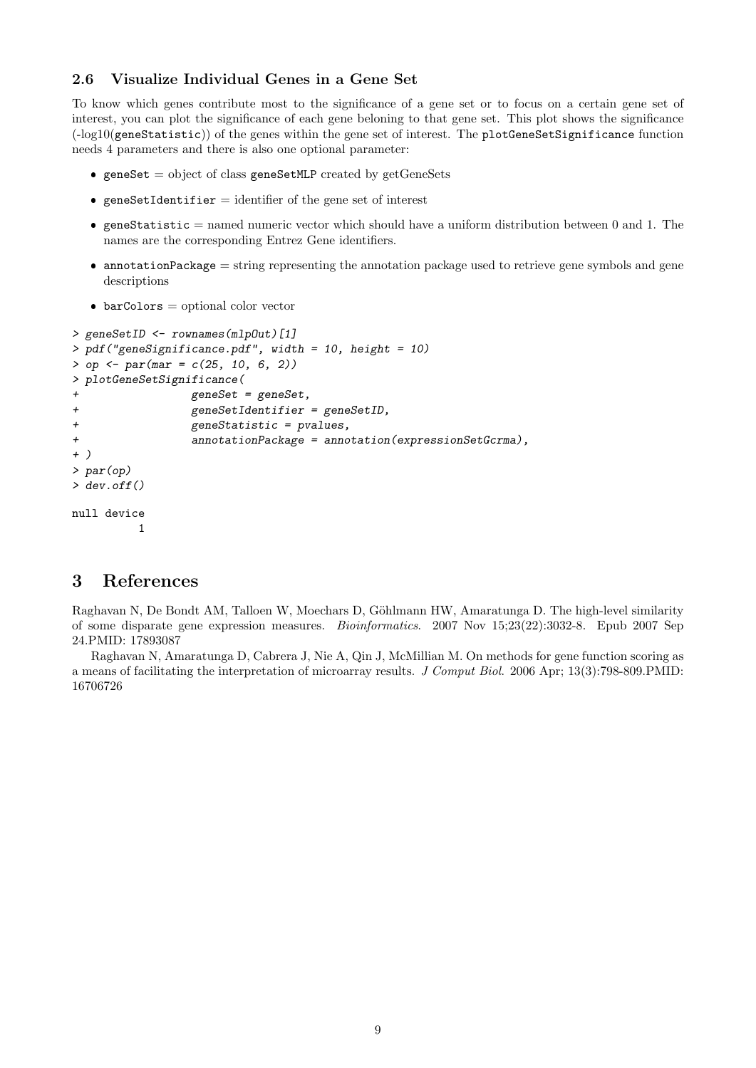#### <span id="page-8-0"></span>2.6 Visualize Individual Genes in a Gene Set

To know which genes contribute most to the significance of a gene set or to focus on a certain gene set of interest, you can plot the significance of each gene beloning to that gene set. This plot shows the significance  $(-\log 10(\text{geneStatic}))$  of the genes within the gene set of interest. The plotGeneSetSignificance function needs 4 parameters and there is also one optional parameter:

- $\bullet$  geneSet = object of class geneSetMLP created by getGeneSets
- $\bullet$  geneSetIdentifier = identifier of the gene set of interest
- $\bullet$  geneStatistic = named numeric vector which should have a uniform distribution between 0 and 1. The names are the corresponding Entrez Gene identifiers.
- $\bullet$  annotationPackage = string representing the annotation package used to retrieve gene symbols and gene descriptions
- $\bullet$  barColors = optional color vector

```
> geneSetID <- rownames(mlpOut)[1]
> pdf("geneSignificance.pdf", width = 10, height = 10)
> op <- par(mar = c(25, 10, 6, 2))
> plotGeneSetSignificance(
                geneset = geneSet,+ geneSetIdentifier = geneSetID,
+ geneStatistic = pvalues,
+ annotationPackage = annotation(expressionSetGcrma),
+ )
> par(op)
> dev. of f()null device
         1
```
### <span id="page-8-1"></span>3 References

Raghavan N, De Bondt AM, Talloen W, Moechars D, Göhlmann HW, Amaratunga D. The high-level similarity of some disparate gene expression measures. Bioinformatics. 2007 Nov 15;23(22):3032-8. Epub 2007 Sep 24.PMID: 17893087

Raghavan N, Amaratunga D, Cabrera J, Nie A, Qin J, McMillian M. On methods for gene function scoring as a means of facilitating the interpretation of microarray results. J Comput Biol. 2006 Apr; 13(3):798-809.PMID: 16706726